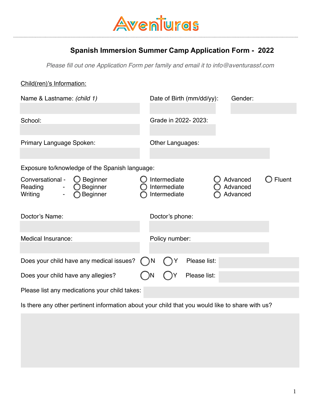

### **Spanish Immersion Summer Camp Application Form - 2022**

Please fill out one Application Form per family and email it to info@*a*venturassf.com

| Name & Lastname: (child 1)<br>Date of Birth (mm/dd/yy):<br>Gender:<br>Grade in 2022-2023:<br>School:<br>Primary Language Spoken:<br>Other Languages:<br>Exposure to/knowledge of the Spanish language:<br>Conversational -<br>$\bigcirc$ Beginner<br>Intermediate<br>Advanced<br>Beginner<br>Intermediate<br>Reading<br>Advanced<br>Beginner<br>Intermediate<br>Advanced<br>Writing<br>$\overline{\phantom{0}}$<br>Doctor's Name:<br>Doctor's phone:<br>Medical Insurance:<br>Policy number: |        |
|----------------------------------------------------------------------------------------------------------------------------------------------------------------------------------------------------------------------------------------------------------------------------------------------------------------------------------------------------------------------------------------------------------------------------------------------------------------------------------------------|--------|
|                                                                                                                                                                                                                                                                                                                                                                                                                                                                                              |        |
|                                                                                                                                                                                                                                                                                                                                                                                                                                                                                              |        |
|                                                                                                                                                                                                                                                                                                                                                                                                                                                                                              |        |
|                                                                                                                                                                                                                                                                                                                                                                                                                                                                                              |        |
|                                                                                                                                                                                                                                                                                                                                                                                                                                                                                              | Fluent |
|                                                                                                                                                                                                                                                                                                                                                                                                                                                                                              |        |
|                                                                                                                                                                                                                                                                                                                                                                                                                                                                                              |        |
|                                                                                                                                                                                                                                                                                                                                                                                                                                                                                              |        |
| Does your child have any medical issues?<br>Please list:<br>N                                                                                                                                                                                                                                                                                                                                                                                                                                |        |
| Please list:<br>Does your child have any allegies?                                                                                                                                                                                                                                                                                                                                                                                                                                           |        |
| Please list any medications your child takes:                                                                                                                                                                                                                                                                                                                                                                                                                                                |        |

Is there any other pertinent information about your child that you would like to share with us?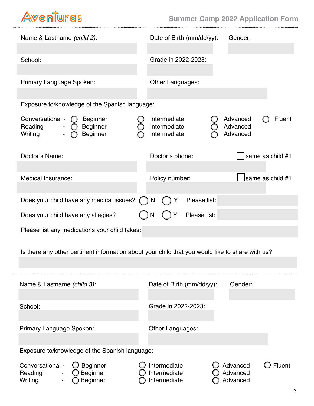## Aventuras

. . . . . . . . . . . . . . . . . .

| Name & Lastname (child 2):                                                                        | Date of Birth (mm/dd/yy):<br>Gender:                                                              |  |  |  |  |
|---------------------------------------------------------------------------------------------------|---------------------------------------------------------------------------------------------------|--|--|--|--|
| School:                                                                                           | Grade in 2022-2023:                                                                               |  |  |  |  |
| Primary Language Spoken:                                                                          | Other Languages:                                                                                  |  |  |  |  |
| Exposure to/knowledge of the Spanish language:                                                    |                                                                                                   |  |  |  |  |
| Conversational -<br><b>O</b> Beginner<br>Reading<br><b>Beginner</b><br>Writing<br><b>Beginner</b> | Intermediate<br>Advanced<br><b>Fluent</b><br>Intermediate<br>Advanced<br>Intermediate<br>Advanced |  |  |  |  |
| Doctor's Name:                                                                                    | same as child #1<br>Doctor's phone:                                                               |  |  |  |  |
| Medical Insurance:                                                                                | same as child #1<br>Policy number:                                                                |  |  |  |  |
| Does your child have any medical issues?                                                          | Please list:<br>Y<br>N                                                                            |  |  |  |  |
| Does your child have any allegies?                                                                | Please list:                                                                                      |  |  |  |  |
| Please list any medications your child takes:                                                     |                                                                                                   |  |  |  |  |
|                                                                                                   | Is there any other pertinent information about your child that you would like to share with us?   |  |  |  |  |
| Name & Lastname (child 3):                                                                        | Date of Birth (mm/dd/yy):<br>Gender:                                                              |  |  |  |  |
| School:                                                                                           | Grade in 2022-2023:                                                                               |  |  |  |  |
| Primary Language Spoken:                                                                          | Other Languages:                                                                                  |  |  |  |  |
| Exposure to/knowledge of the Spanish language:                                                    |                                                                                                   |  |  |  |  |
| Conversational -<br>$\bigcirc$ Beginner<br>Beginner<br>Reading<br>Writing<br>Beginner             | Intermediate<br>Advanced<br>Fluent<br>Intermediate<br>Advanced<br>Intermediate<br>Advanced        |  |  |  |  |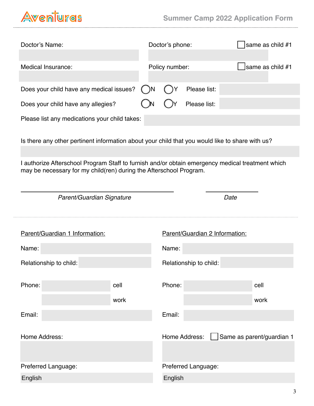$\cdots$ 

| Doctor's Name:                                                                                                                                                         | Doctor's phone: |                |                                | same as child #1          |                  |
|------------------------------------------------------------------------------------------------------------------------------------------------------------------------|-----------------|----------------|--------------------------------|---------------------------|------------------|
| Medical Insurance:                                                                                                                                                     |                 | Policy number: |                                |                           | same as child #1 |
| Does your child have any medical issues?                                                                                                                               |                 |                | Please list:                   |                           |                  |
| Does your child have any allegies?                                                                                                                                     |                 |                | Please list:                   |                           |                  |
| Please list any medications your child takes:                                                                                                                          |                 |                |                                |                           |                  |
| Is there any other pertinent information about your child that you would like to share with us?                                                                        |                 |                |                                |                           |                  |
|                                                                                                                                                                        |                 |                |                                |                           |                  |
| I authorize Afterschool Program Staff to furnish and/or obtain emergency medical treatment which<br>may be necessary for my child(ren) during the Afterschool Program. |                 |                |                                |                           |                  |
| Parent/Guardian Signature                                                                                                                                              |                 |                |                                | Date                      |                  |
| Parent/Guardian 1 Information:                                                                                                                                         |                 |                | Parent/Guardian 2 Information: |                           |                  |
| Name:                                                                                                                                                                  |                 | Name:          |                                |                           |                  |
| Relationship to child:                                                                                                                                                 |                 |                |                                |                           |                  |
|                                                                                                                                                                        |                 |                | Relationship to child:         |                           |                  |
|                                                                                                                                                                        |                 |                |                                |                           |                  |
| Phone:                                                                                                                                                                 | cell<br>work    | Phone:         |                                | cell<br>work              |                  |
| Email:                                                                                                                                                                 |                 | Email:         |                                |                           |                  |
| Home Address:                                                                                                                                                          |                 |                | Home Address:                  | Same as parent/guardian 1 |                  |
|                                                                                                                                                                        |                 |                |                                |                           |                  |
| Preferred Language:                                                                                                                                                    |                 |                | Preferred Language:            |                           |                  |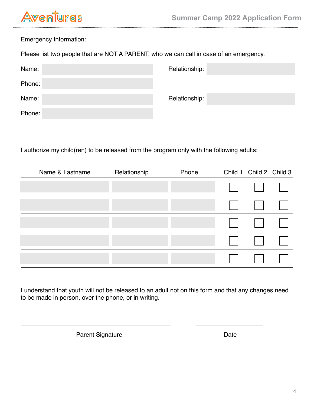# **Aventuras**

### Emergency Information:

Please list two people that are NOT A PARENT, who we can call in case of an emergency.

| Name:  | Relationship: |
|--------|---------------|
| Phone: |               |
| Name:  | Relationship: |
| Phone: |               |

I authorize my child(ren) to be released from the program only with the following adults:

| Name & Lastname | Relationship | Phone |                                                                                                                                                                                                                                     | Child 1 Child 2 Child 3 |  |
|-----------------|--------------|-------|-------------------------------------------------------------------------------------------------------------------------------------------------------------------------------------------------------------------------------------|-------------------------|--|
|                 |              |       |                                                                                                                                                                                                                                     | 11 11 11                |  |
|                 |              |       |                                                                                                                                                                                                                                     |                         |  |
|                 |              |       |                                                                                                                                                                                                                                     | 1111111                 |  |
|                 |              |       | <b>I</b> The Contract of the Contract of the Contract of the Contract of the Contract of the Contract of the Contract of the Contract of the Contract of the Contract of the Contract of the Contract of the Contract of the Contra | $\mathbf{1}$            |  |
|                 |              |       | $\mathbb{R}^n$                                                                                                                                                                                                                      | $\mathbf{1}$            |  |

I understand that youth will not be released to an adult not on this form and that any changes need to be made in person, over the phone, or in writing.

Parent Signature Date Date